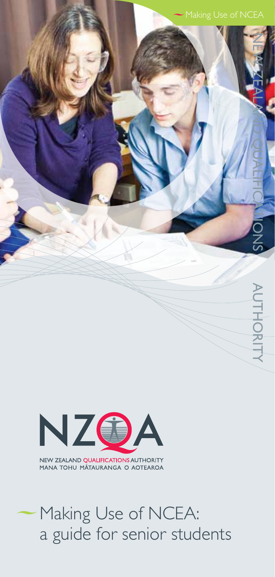



# Making Use of NCEA: a guide for senior students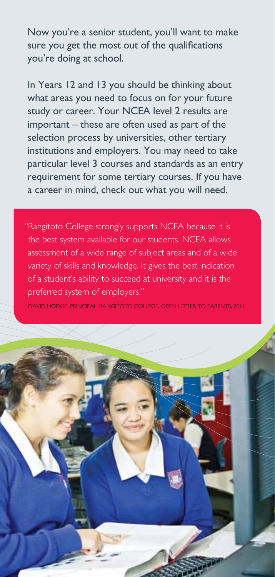Now you're a senior student, you'll want to make sure you get the most out of the qualifications you're doing at school.

In Years 12 and 13 you should be thinking about what areas you need to focus on for your future study or career. Your NCEA level 2 results are important – these are often used as part of the selection process by universities, other tertiary institutions and employers. You may need to take particular level 3 courses and standards as an entry requirement for some tertiary courses. If you have a career in mind, check out what you will need.

"Rangitoto College strongly supports NCEA because it is the best system available for our students. NCEA allows assessment of a wide range of subject areas and of a wide variety of skills and knowledge. It gives the best indication of a student's ability to succeed at university and it is the preferred system of employers."

David Hodge, Principal, Rangitoto College, Open letter to parents, 2011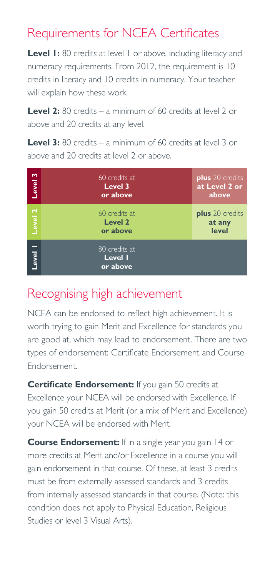## Requirements for NCEA Certificates

**Level I:** 80 credits at level 1 or above, including literacy and numeracy requirements. From 2012, the requirement is 10 credits in literacy and 10 credits in numeracy. Your teacher will explain how these work.

**Level 2:** 80 credits – a minimum of 60 credits at level 2 or above and 20 credits at any level.

**Level 3:** 80 credits – a minimum of 60 credits at level 3 or above and 20 credits at level 2 or above.

| $\sim$<br>Level | 60 credits at<br>Level 3<br>or above | <b>plus</b> 20 credits<br>at Level 2 or<br>above |
|-----------------|--------------------------------------|--------------------------------------------------|
| Level 2         | 60 credits at<br>Level 2<br>or above | <b>plus</b> 20 credits<br>at any<br>level        |
| Level           | 80 credits at<br>Level I<br>or above |                                                  |

### Recognising high achievement

NCEA can be endorsed to reflect high achievement. It is worth trying to gain Merit and Excellence for standards you are good at, which may lead to endorsement. There are two types of endorsement: Certificate Endorsement and Course Endorsement.

**Certificate Endorsement:** If you gain 50 credits at Excellence your NCEA will be endorsed with Excellence. If you gain 50 credits at Merit (or a mix of Merit and Excellence) your NCEA will be endorsed with Merit.

**Course Endorsement:** If in a single year you gain 14 or more credits at Merit and/or Excellence in a course you will gain endorsement in that course. Of these, at least 3 credits must be from externally assessed standards and 3 credits from internally assessed standards in that course. (Note: this condition does not apply to Physical Education, Religious Studies or level 3 Visual Arts).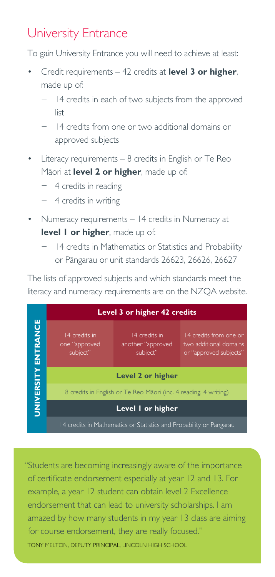# University Entrance

To gain University Entrance you will need to achieve at least:

- Credit requirements 42 credits at **level 3 or higher**, made up of:
	- − 14 credits in each of two subjects from the approved list
	- − 14 credits from one or two additional domains or approved subjects
- Literacy requirements 8 credits in English or Te Reo Māori at **level 2 or higher**, made up of:
	- − 4 credits in reading
	- − 4 credits in writing
- Numeracy requirements 14 credits in Numeracy at **level 1 or higher**, made up of:
	- − 14 credits in Mathematics or Statistics and Probability or Pāngarau or unit standards 26623, 26626, 26627

The lists of approved subjects and which standards meet the literacy and numeracy requirements are on the NZQA website.



"Students are becoming increasingly aware of the importance of certificate endorsement especially at year 12 and 13. For example, a year 12 student can obtain level 2 Excellence endorsement that can lead to university scholarships. I am amazed by how many students in my year 13 class are aiming for course endorsement, they are really focused." Tony Melton, Deputy Principal, Lincoln High School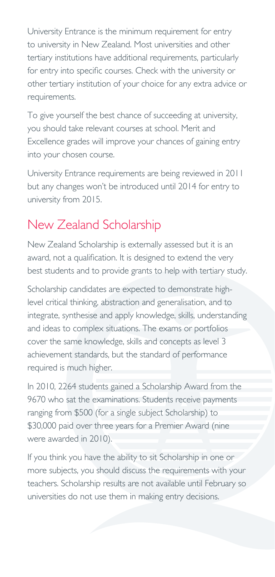University Entrance is the minimum requirement for entry to university in New Zealand. Most universities and other tertiary institutions have additional requirements, particularly for entry into specific courses. Check with the university or other tertiary institution of your choice for any extra advice or requirements.

To give yourself the best chance of succeeding at university, you should take relevant courses at school. Merit and Excellence grades will improve your chances of gaining entry into your chosen course.

University Entrance requirements are being reviewed in 2011 but any changes won't be introduced until 2014 for entry to university from 2015.

# New Zealand Scholarship

New Zealand Scholarship is externally assessed but it is an award, not a qualification. It is designed to extend the very best students and to provide grants to help with tertiary study.

Scholarship candidates are expected to demonstrate highlevel critical thinking, abstraction and generalisation, and to integrate, synthesise and apply knowledge, skills, understanding and ideas to complex situations. The exams or portfolios cover the same knowledge, skills and concepts as level 3 achievement standards, but the standard of performance required is much higher.

In 2010, 2264 students gained a Scholarship Award from the 9670 who sat the examinations. Students receive payments ranging from \$500 (for a single subject Scholarship) to \$30,000 paid over three years for a Premier Award (nine were awarded in 2010).

If you think you have the ability to sit Scholarship in one or more subjects, you should discuss the requirements with your teachers. Scholarship results are not available until February so universities do not use them in making entry decisions.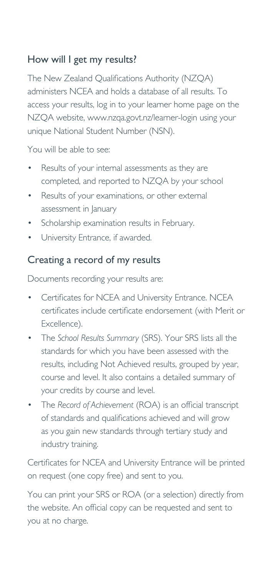#### How will I get my results?

The New Zealand Qualifications Authority (NZQA) administers NCEA and holds a database of all results. To access your results, log in to your learner home page on the NZQA website, www.nzqa.govt.nz/learner-login using your unique National Student Number (NSN).

You will be able to see:

- Results of your internal assessments as they are completed, and reported to NZQA by your school
- Results of your examinations, or other external assessment in January
- Scholarship examination results in February.
- University Entrance, if awarded.

#### Creating a record of my results

Documents recording your results are:

- Certificates for NCEA and University Entrance. NCEA certificates include certificate endorsement (with Merit or Excellence).
- The *School Results Summary* (SRS). Your SRS lists all the standards for which you have been assessed with the results, including Not Achieved results, grouped by year, course and level. It also contains a detailed summary of your credits by course and level.
- The *Record of Achievement* (ROA) is an official transcript of standards and qualifications achieved and will grow as you gain new standards through tertiary study and industry training.

Certificates for NCEA and University Entrance will be printed on request (one copy free) and sent to you.

You can print your SRS or ROA (or a selection) directly from the website. An official copy can be requested and sent to you at no charge.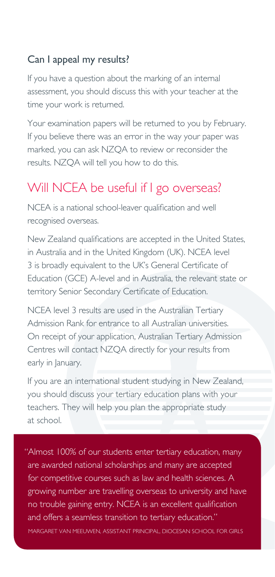#### Can I appeal my results?

If you have a question about the marking of an internal assessment, you should discuss this with your teacher at the time your work is returned.

Your examination papers will be returned to you by February. If you believe there was an error in the way your paper was marked, you can ask NZQA to review or reconsider the results. NZQA will tell you how to do this.

### Will NCEA be useful if I go overseas?

NCEA is a national school-leaver qualification and well recognised overseas.

New Zealand qualifications are accepted in the United States, in Australia and in the United Kingdom (UK). NCEA level 3 is broadly equivalent to the UK's General Certificate of Education (GCE) A-level and in Australia, the relevant state or territory Senior Secondary Certificate of Education.

NCEA level 3 results are used in the Australian Tertiary Admission Rank for entrance to all Australian universities. On receipt of your application, Australian Tertiary Admission Centres will contact NZQA directly for your results from early in January.

If you are an international student studying in New Zealand, you should discuss your tertiary education plans with your teachers. They will help you plan the appropriate study at school.

"Almost 100% of our students enter tertiary education, many are awarded national scholarships and many are accepted for competitive courses such as law and health sciences. A growing number are travelling overseas to university and have no trouble gaining entry. NCEA is an excellent qualification and offers a seamless transition to tertiary education." Margaret van Meeuwen, Assistant Principal, Diocesan School for Girls